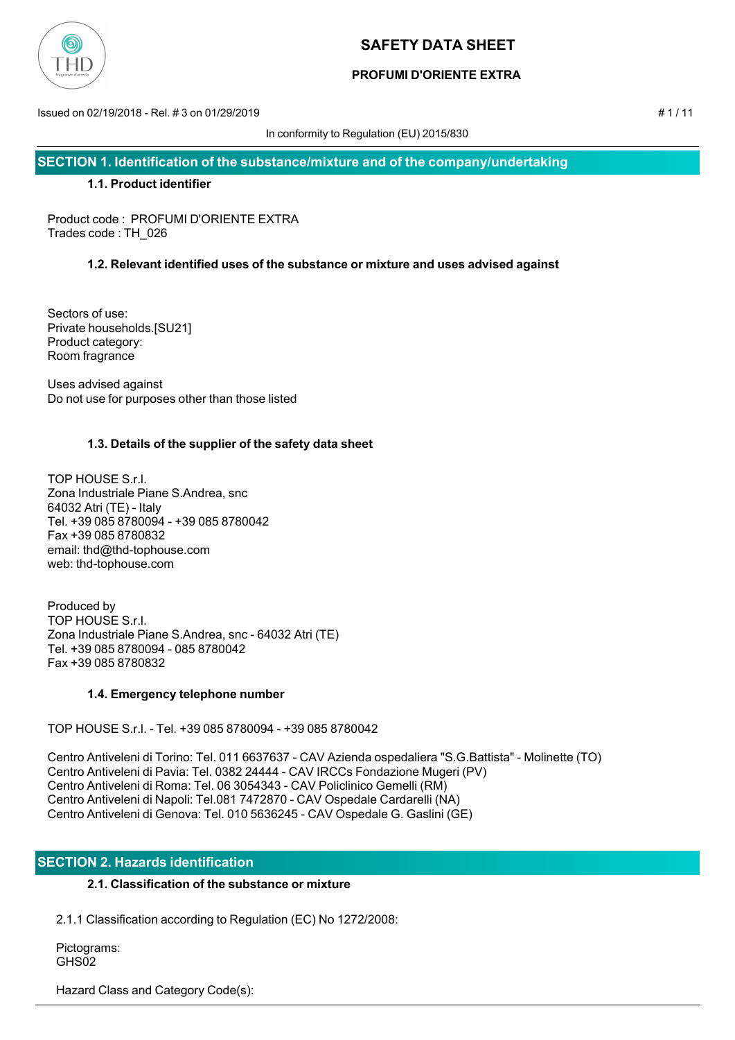

# **PROFUMI D'ORIENTE EXTRA**

Issued on 02/19/2018 - Rel. # 3 on 01/29/2019 # 1 / 11

In conformity to Regulation (EU) 2015/830

**SECTION 1. Identification of the substance/mixture and of the company/undertaking**

## **1.1. Product identifier**

Product code : PROFUMI D'ORIENTE EXTRA Trades code : TH\_026

# **1.2. Relevant identified uses of the substance or mixture and uses advised against**

Sectors of use: Private households.[SU21] Product category: Room fragrance

Uses advised against Do not use for purposes other than those listed

# **1.3. Details of the supplier of the safety data sheet**

TOP HOUSE S.r.l. Zona Industriale Piane S.Andrea, snc 64032 Atri (TE) - Italy Tel. +39 085 8780094 - +39 085 8780042 Fax +39 085 8780832 email: thd@thd-tophouse.com web: thd-tophouse.com

Produced by TOP HOUSE S.r.l. Zona Industriale Piane S.Andrea, snc - 64032 Atri (TE) Tel. +39 085 8780094 - 085 8780042 Fax +39 085 8780832

# **1.4. Emergency telephone number**

TOP HOUSE S.r.l. - Tel. +39 085 8780094 - +39 085 8780042

Centro Antiveleni di Torino: Tel. 011 6637637 - CAV Azienda ospedaliera "S.G.Battista" - Molinette (TO) Centro Antiveleni di Pavia: Tel. 0382 24444 - CAV IRCCs Fondazione Mugeri (PV) Centro Antiveleni di Roma: Tel. 06 3054343 - CAV Policlinico Gemelli (RM) Centro Antiveleni di Napoli: Tel.081 7472870 - CAV Ospedale Cardarelli (NA) Centro Antiveleni di Genova: Tel. 010 5636245 - CAV Ospedale G. Gaslini (GE)

# **SECTION 2. Hazards identification**

# **2.1. Classification of the substance or mixture**

2.1.1 Classification according to Regulation (EC) No 1272/2008:

 Pictograms: GHS<sub>02</sub>

Hazard Class and Category Code(s):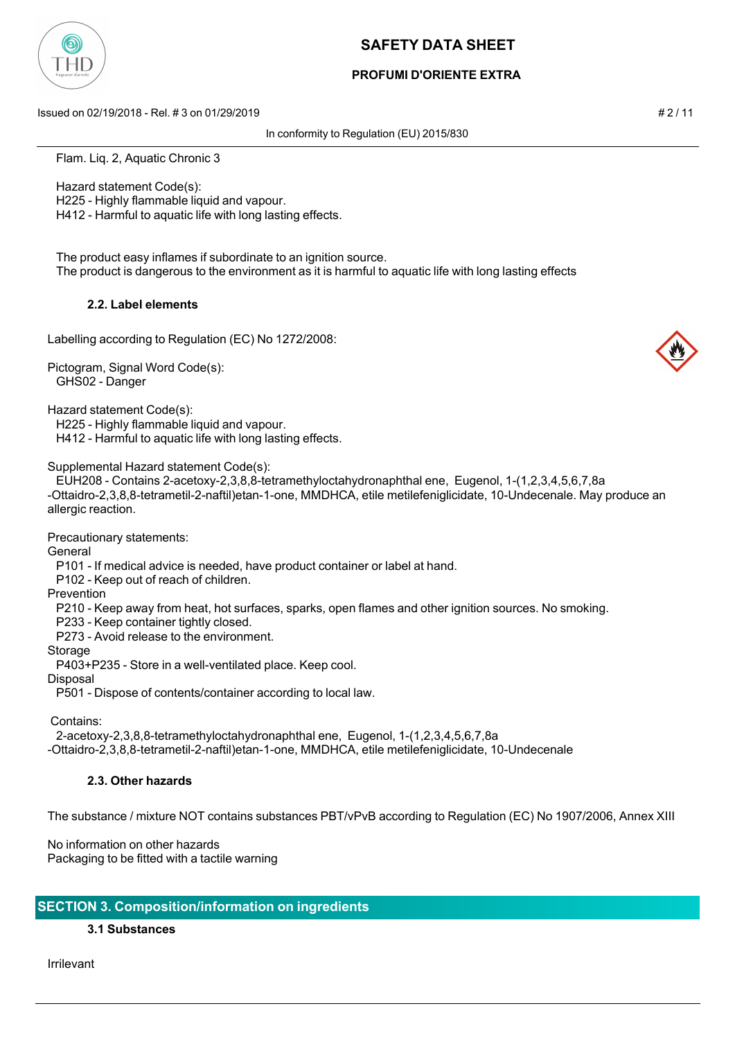

## **PROFUMI D'ORIENTE EXTRA**

Issued on 02/19/2018 - Rel. # 3 on 01/29/2019 # 2 / 11

In conformity to Regulation (EU) 2015/830

Flam. Liq. 2, Aquatic Chronic 3

Hazard statement Code(s):

H225 - Highly flammable liquid and vapour.

H412 - Harmful to aquatic life with long lasting effects.

 The product easy inflames if subordinate to an ignition source. The product is dangerous to the environment as it is harmful to aquatic life with long lasting effects

## **2.2. Label elements**

Labelling according to Regulation (EC) No 1272/2008:

Pictogram, Signal Word Code(s): GHS02 - Danger

Hazard statement Code(s):

H225 - Highly flammable liquid and vapour.

H412 - Harmful to aquatic life with long lasting effects.

Supplemental Hazard statement Code(s):

 EUH208 - Contains 2-acetoxy-2,3,8,8-tetramethyloctahydronaphthal ene, Eugenol, 1-(1,2,3,4,5,6,7,8a -Ottaidro-2,3,8,8-tetrametil-2-naftil)etan-1-one, MMDHCA, etile metilefeniglicidate, 10-Undecenale. May produce an allergic reaction.

Precautionary statements:

General

P101 - If medical advice is needed, have product container or label at hand.

P102 - Keep out of reach of children.

Prevention

P210 - Keep away from heat, hot surfaces, sparks, open flames and other ignition sources. No smoking.

P233 - Keep container tightly closed.

P273 - Avoid release to the environment.

Storage

P403+P235 - Store in a well-ventilated place. Keep cool.

Disposal

P501 - Dispose of contents/container according to local law.

Contains:

2-acetoxy-2,3,8,8-tetramethyloctahydronaphthal ene, Eugenol, 1-(1,2,3,4,5,6,7,8a

-Ottaidro-2,3,8,8-tetrametil-2-naftil)etan-1-one, MMDHCA, etile metilefeniglicidate, 10-Undecenale

# **2.3. Other hazards**

The substance / mixture NOT contains substances PBT/vPvB according to Regulation (EC) No 1907/2006, Annex XIII

No information on other hazards Packaging to be fitted with a tactile warning

# **SECTION 3. Composition/information on ingredients**

**3.1 Substances**

Irrilevant

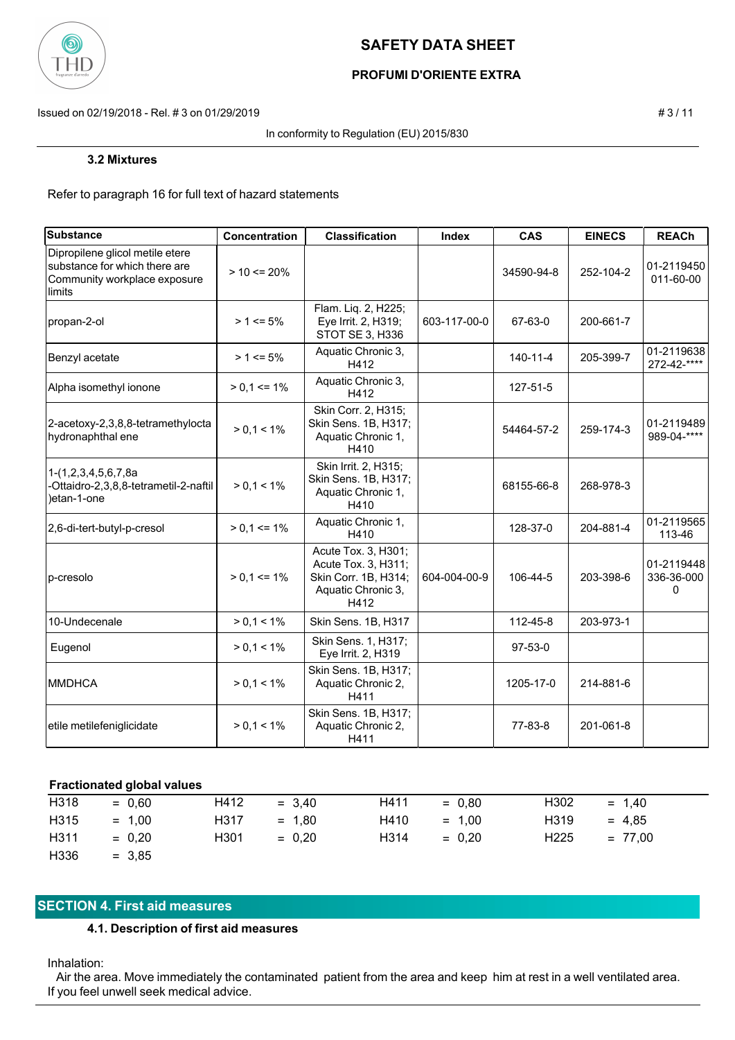

# **PROFUMI D'ORIENTE EXTRA**

Issued on 02/19/2018 - Rel. # 3 on 01/29/2019 # 3 / 11

In conformity to Regulation (EU) 2015/830

#### **3.2 Mixtures**

Refer to paragraph 16 for full text of hazard statements

| <b>Substance</b>                                                                                           | Concentration   | <b>Classification</b>                                                                            | Index        | <b>CAS</b> | <b>EINECS</b> | <b>REACh</b>                  |
|------------------------------------------------------------------------------------------------------------|-----------------|--------------------------------------------------------------------------------------------------|--------------|------------|---------------|-------------------------------|
| Dipropilene glicol metile etere<br>substance for which there are<br>Community workplace exposure<br>limits | $> 10 \le 20\%$ |                                                                                                  |              | 34590-94-8 | 252-104-2     | 01-2119450<br>011-60-00       |
| propan-2-ol                                                                                                | $> 1 \le 5\%$   | Flam. Liq. 2, H225;<br>Eye Irrit. 2, H319;<br>STOT SE 3, H336                                    | 603-117-00-0 | 67-63-0    | 200-661-7     |                               |
| Benzyl acetate                                                                                             | $> 1 \le 5\%$   | Aquatic Chronic 3,<br>H412                                                                       |              | 140-11-4   | 205-399-7     | 01-2119638<br>272-42-****     |
| Alpha isomethyl ionone                                                                                     | $> 0.1 \le 1\%$ | Aquatic Chronic 3,<br>H412                                                                       |              | 127-51-5   |               |                               |
| 2-acetoxy-2,3,8,8-tetramethylocta<br>hydronaphthal ene                                                     | $> 0.1 < 1\%$   | Skin Corr. 2, H315;<br>Skin Sens. 1B, H317;<br>Aquatic Chronic 1,<br>H410                        |              | 54464-57-2 | 259-174-3     | 01-2119489<br>989-04-****     |
| 1-(1,2,3,4,5,6,7,8a<br>-Ottaidro-2,3,8,8-tetrametil-2-naftil<br>)etan-1-one                                | $> 0.1 < 1\%$   | Skin Irrit. 2, H315;<br>Skin Sens. 1B, H317;<br>Aquatic Chronic 1,<br>H410                       |              | 68155-66-8 | 268-978-3     |                               |
| 2,6-di-tert-butyl-p-cresol                                                                                 | $> 0.1 \le 1\%$ | Aquatic Chronic 1,<br>H410                                                                       |              | 128-37-0   | 204-881-4     | 01-2119565<br>113-46          |
| p-cresolo                                                                                                  | $> 0.1 \le 1\%$ | Acute Tox. 3, H301;<br>Acute Tox. 3, H311;<br>Skin Corr. 1B, H314;<br>Aquatic Chronic 3,<br>H412 | 604-004-00-9 | 106-44-5   | 203-398-6     | 01-2119448<br>336-36-000<br>0 |
| 10-Undecenale                                                                                              | $> 0.1 < 1\%$   | Skin Sens. 1B, H317                                                                              |              | 112-45-8   | 203-973-1     |                               |
| Eugenol                                                                                                    | $> 0.1 < 1\%$   | Skin Sens. 1, H317;<br>Eye Irrit. 2, H319                                                        |              | $97-53-0$  |               |                               |
| <b>MMDHCA</b>                                                                                              | $> 0.1 < 1\%$   | Skin Sens. 1B, H317;<br>Aquatic Chronic 2,<br>H411                                               |              | 1205-17-0  | 214-881-6     |                               |
| etile metilefeniglicidate                                                                                  | $> 0.1 < 1\%$   | Skin Sens. 1B, H317;<br>Aquatic Chronic 2,<br>H411                                               |              | 77-83-8    | 201-061-8     |                               |

#### **Fractionated global values**

| H318 | $= 0.60$ | H412 | $= 3.40$ | H411 | $= 0.80$ | H <sub>302</sub> | $= 1.40$  |
|------|----------|------|----------|------|----------|------------------|-----------|
| H315 | $= 1.00$ | H317 | $= 1.80$ | H410 | $= 1.00$ | H319             | $= 4.85$  |
| H311 | $= 0.20$ | H301 | $= 0.20$ | H314 | $= 0.20$ | H <sub>225</sub> | $= 77.00$ |
| H336 | $= 3,85$ |      |          |      |          |                  |           |

## **SECTION 4. First aid measures**

**4.1. Description of first aid measures**

#### Inhalation:

 Air the area. Move immediately the contaminated patient from the area and keep him at rest in a well ventilated area. If you feel unwell seek medical advice.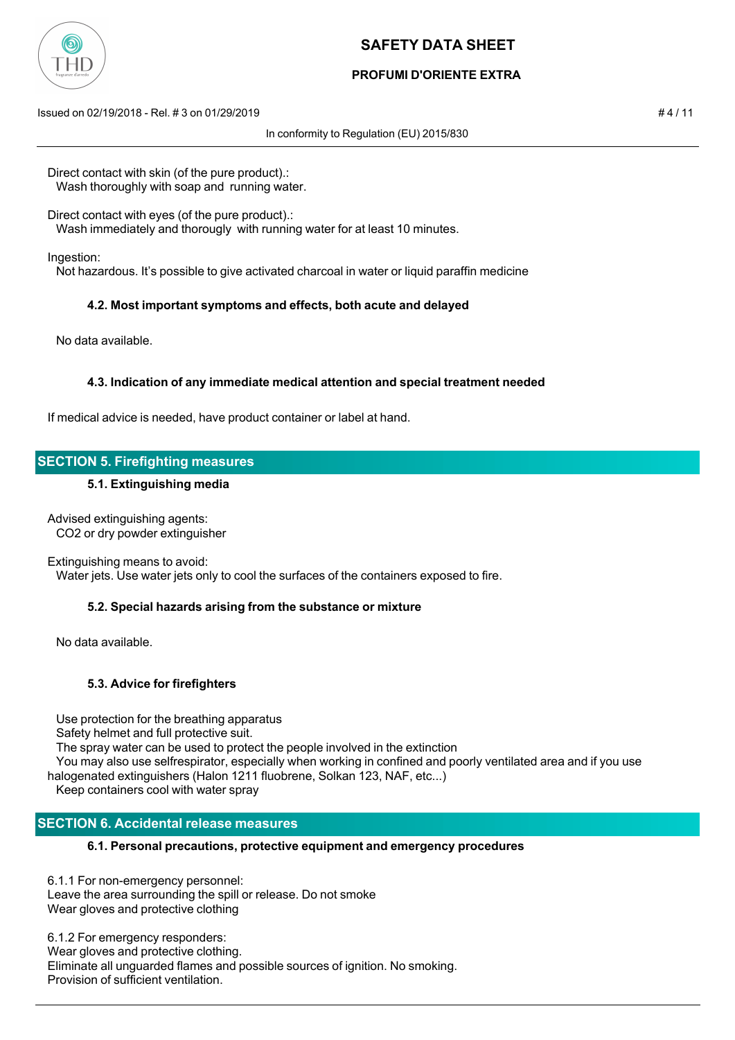

# **PROFUMI D'ORIENTE EXTRA**

Issued on 02/19/2018 - Rel. # 3 on 01/29/2019 # 4 / 11

In conformity to Regulation (EU) 2015/830

Direct contact with skin (of the pure product).: Wash thoroughly with soap and running water.

Direct contact with eyes (of the pure product).: Wash immediately and thorougly with running water for at least 10 minutes.

Ingestion:

Not hazardous. It's possible to give activated charcoal in water or liquid paraffin medicine

## **4.2. Most important symptoms and effects, both acute and delayed**

No data available.

## **4.3. Indication of any immediate medical attention and special treatment needed**

If medical advice is needed, have product container or label at hand.

## **SECTION 5. Firefighting measures**

#### **5.1. Extinguishing media**

Advised extinguishing agents: CO2 or dry powder extinguisher

Extinguishing means to avoid:

Water jets. Use water jets only to cool the surfaces of the containers exposed to fire.

## **5.2. Special hazards arising from the substance or mixture**

No data available.

## **5.3. Advice for firefighters**

 Use protection for the breathing apparatus Safety helmet and full protective suit. The spray water can be used to protect the people involved in the extinction You may also use selfrespirator, especially when working in confined and poorly ventilated area and if you use halogenated extinguishers (Halon 1211 fluobrene, Solkan 123, NAF, etc...) Keep containers cool with water spray

## **SECTION 6. Accidental release measures**

## **6.1. Personal precautions, protective equipment and emergency procedures**

6.1.1 For non-emergency personnel: Leave the area surrounding the spill or release. Do not smoke Wear gloves and protective clothing

6.1.2 For emergency responders: Wear gloves and protective clothing. Eliminate all unguarded flames and possible sources of ignition. No smoking. Provision of sufficient ventilation.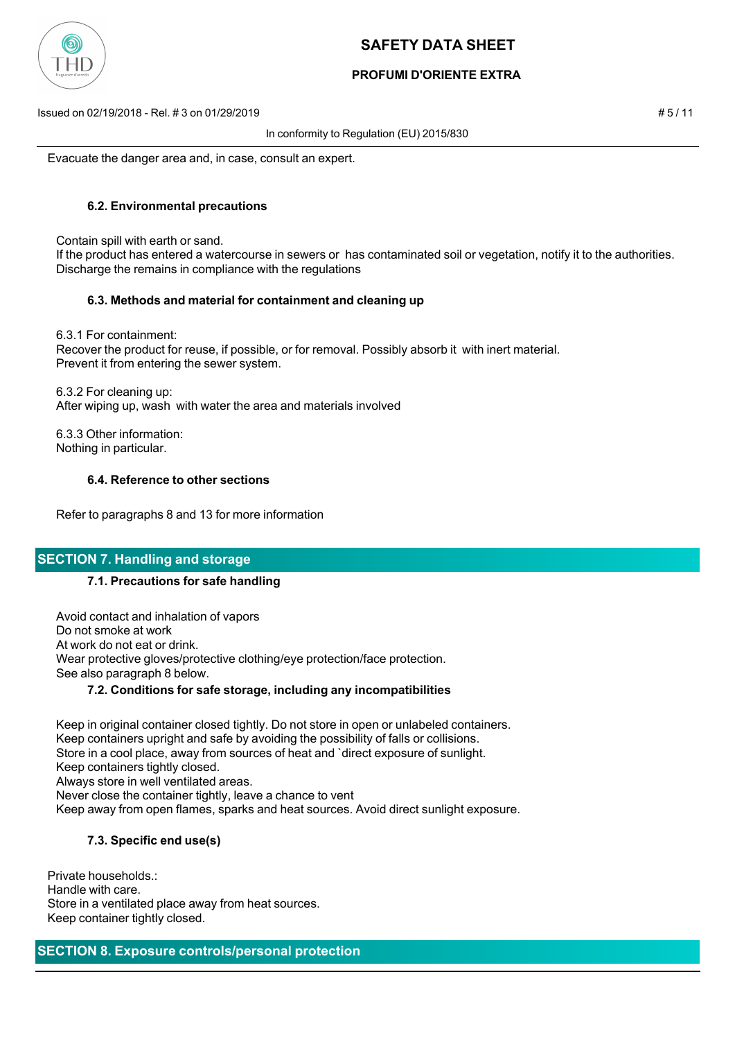

# **PROFUMI D'ORIENTE EXTRA**

Issued on 02/19/2018 - Rel. # 3 on 01/29/2019 # 5 / 11

In conformity to Regulation (EU) 2015/830

Evacuate the danger area and, in case, consult an expert.

## **6.2. Environmental precautions**

Contain spill with earth or sand.

 If the product has entered a watercourse in sewers or has contaminated soil or vegetation, notify it to the authorities. Discharge the remains in compliance with the regulations

## **6.3. Methods and material for containment and cleaning up**

 6.3.1 For containment: Recover the product for reuse, if possible, or for removal. Possibly absorb it with inert material. Prevent it from entering the sewer system.

 6.3.2 For cleaning up: After wiping up, wash with water the area and materials involved

 6.3.3 Other information: Nothing in particular.

## **6.4. Reference to other sections**

Refer to paragraphs 8 and 13 for more information

# **SECTION 7. Handling and storage**

## **7.1. Precautions for safe handling**

 Avoid contact and inhalation of vapors Do not smoke at work At work do not eat or drink. Wear protective gloves/protective clothing/eye protection/face protection. See also paragraph 8 below.

## **7.2. Conditions for safe storage, including any incompatibilities**

 Keep in original container closed tightly. Do not store in open or unlabeled containers. Keep containers upright and safe by avoiding the possibility of falls or collisions. Store in a cool place, away from sources of heat and `direct exposure of sunlight. Keep containers tightly closed. Always store in well ventilated areas. Never close the container tightly, leave a chance to vent Keep away from open flames, sparks and heat sources. Avoid direct sunlight exposure.

## **7.3. Specific end use(s)**

Private households.: Handle with care. Store in a ventilated place away from heat sources. Keep container tightly closed.

## **SECTION 8. Exposure controls/personal protection**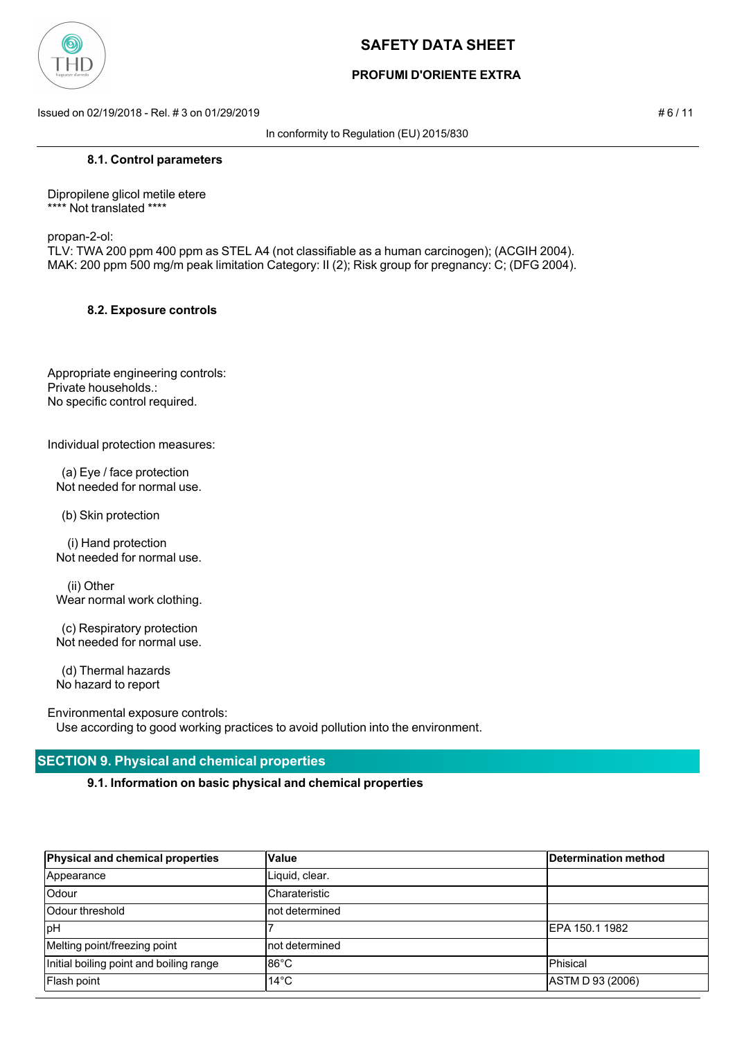

# **PROFUMI D'ORIENTE EXTRA**

Issued on 02/19/2018 - Rel. # 3 on 01/29/2019 **# 6 / 11**  $\neq 6$  / 11

In conformity to Regulation (EU) 2015/830

#### **8.1. Control parameters**

Dipropilene glicol metile etere \*\*\*\* Not translated \*\*\*\*

propan-2-ol:

TLV: TWA 200 ppm 400 ppm as STEL A4 (not classifiable as a human carcinogen); (ACGIH 2004). MAK: 200 ppm 500 mg/m peak limitation Category: II (2); Risk group for pregnancy: C; (DFG 2004).

#### **8.2. Exposure controls**

Appropriate engineering controls: Private households.: No specific control required.

Individual protection measures:

 (a) Eye / face protection Not needed for normal use.

(b) Skin protection

 (i) Hand protection Not needed for normal use.

 (ii) Other Wear normal work clothing.

 (c) Respiratory protection Not needed for normal use.

 (d) Thermal hazards No hazard to report

Environmental exposure controls:

Use according to good working practices to avoid pollution into the environment.

# **SECTION 9. Physical and chemical properties**

**9.1. Information on basic physical and chemical properties**

| Physical and chemical properties        | Value          | Determination method |
|-----------------------------------------|----------------|----------------------|
| Appearance                              | Liquid, clear. |                      |
| Odour                                   | Charateristic  |                      |
| Odour threshold                         | not determined |                      |
| <b>lpH</b>                              |                | IEPA 150.1 1982      |
| Melting point/freezing point            | not determined |                      |
| Initial boiling point and boiling range | l86°C          | Phisical             |
| Flash point                             | $14^{\circ}$ C | ASTM D 93 (2006)     |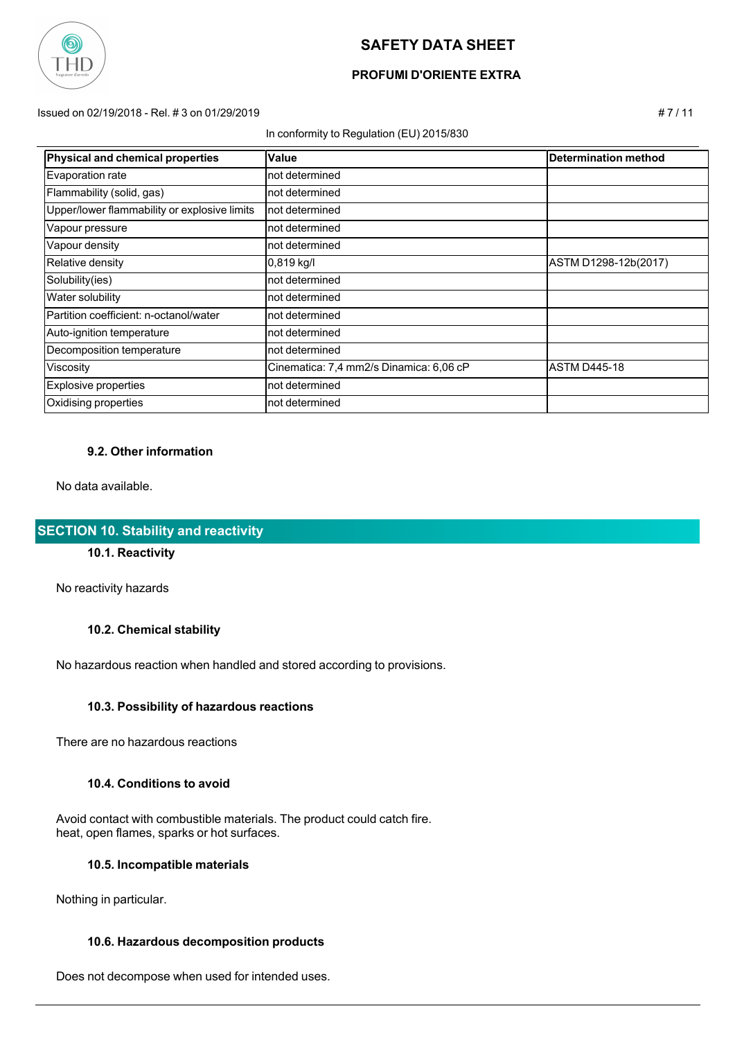

# **PROFUMI D'ORIENTE EXTRA**

Issued on 02/19/2018 - Rel. # 3 on 01/29/2019 # 7 / 11

#### In conformity to Regulation (EU) 2015/830

| Physical and chemical properties             | Value                                   | Determination method |
|----------------------------------------------|-----------------------------------------|----------------------|
| Evaporation rate                             | not determined                          |                      |
| Flammability (solid, gas)                    | not determined                          |                      |
| Upper/lower flammability or explosive limits | not determined                          |                      |
| Vapour pressure                              | not determined                          |                      |
| Vapour density                               | not determined                          |                      |
| Relative density                             | $0,819$ kg/l                            | ASTM D1298-12b(2017) |
| Solubility(ies)                              | not determined                          |                      |
| <b>Water solubility</b>                      | not determined                          |                      |
| Partition coefficient: n-octanol/water       | not determined                          |                      |
| Auto-ignition temperature                    | not determined                          |                      |
| Decomposition temperature                    | not determined                          |                      |
| Viscosity                                    | Cinematica: 7,4 mm2/s Dinamica: 6,06 cP | <b>ASTM D445-18</b>  |
| Explosive properties                         | not determined                          |                      |
| Oxidising properties                         | not determined                          |                      |

#### **9.2. Other information**

No data available.

## **SECTION 10. Stability and reactivity**

## **10.1. Reactivity**

No reactivity hazards

#### **10.2. Chemical stability**

No hazardous reaction when handled and stored according to provisions.

#### **10.3. Possibility of hazardous reactions**

There are no hazardous reactions

#### **10.4. Conditions to avoid**

 Avoid contact with combustible materials. The product could catch fire. heat, open flames, sparks or hot surfaces.

## **10.5. Incompatible materials**

Nothing in particular.

## **10.6. Hazardous decomposition products**

Does not decompose when used for intended uses.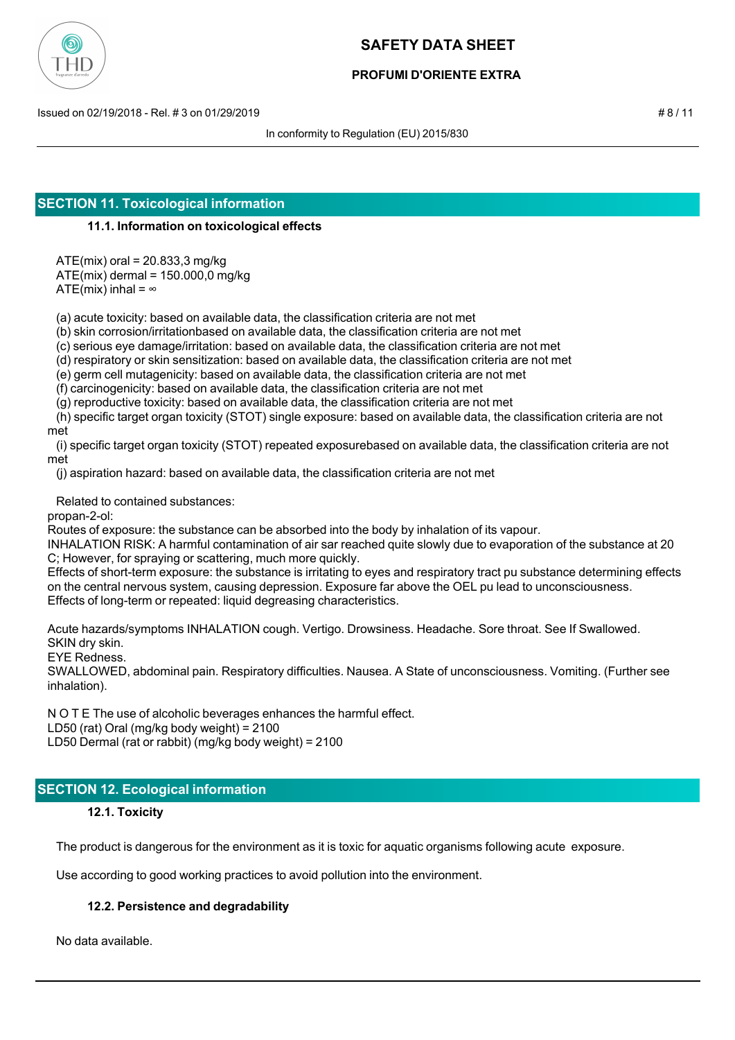

## **PROFUMI D'ORIENTE EXTRA**

Issued on 02/19/2018 - Rel. # 3 on 01/29/2019 # 8 / 11

In conformity to Regulation (EU) 2015/830

## **SECTION 11. Toxicological information**

## **11.1. Information on toxicological effects**

ATE(mix) oral = 20.833,3 mg/kg

ATE(mix) dermal = 150.000,0 mg/kg

ATE(mix) inhal =  $\infty$ 

(a) acute toxicity: based on available data, the classification criteria are not met

(b) skin corrosion/irritationbased on available data, the classification criteria are not met

(c) serious eye damage/irritation: based on available data, the classification criteria are not met

(d) respiratory or skin sensitization: based on available data, the classification criteria are not met

(e) germ cell mutagenicity: based on available data, the classification criteria are not met

(f) carcinogenicity: based on available data, the classification criteria are not met

(g) reproductive toxicity: based on available data, the classification criteria are not met

 (h) specific target organ toxicity (STOT) single exposure: based on available data, the classification criteria are not met

 (i) specific target organ toxicity (STOT) repeated exposurebased on available data, the classification criteria are not met

(j) aspiration hazard: based on available data, the classification criteria are not met

Related to contained substances:

propan-2-ol:

Routes of exposure: the substance can be absorbed into the body by inhalation of its vapour.

INHALATION RISK: A harmful contamination of air sar reached quite slowly due to evaporation of the substance at 20 C; However, for spraying or scattering, much more quickly.

Effects of short-term exposure: the substance is irritating to eyes and respiratory tract pu substance determining effects on the central nervous system, causing depression. Exposure far above the OEL pu lead to unconsciousness. Effects of long-term or repeated: liquid degreasing characteristics.

Acute hazards/symptoms INHALATION cough. Vertigo. Drowsiness. Headache. Sore throat. See If Swallowed. SKIN dry skin.

EYE Redness.

SWALLOWED, abdominal pain. Respiratory difficulties. Nausea. A State of unconsciousness. Vomiting. (Further see inhalation).

N O T E The use of alcoholic beverages enhances the harmful effect. LD50 (rat) Oral (mg/kg body weight) = 2100 LD50 Dermal (rat or rabbit) (mg/kg body weight) = 2100

# **SECTION 12. Ecological information**

## **12.1. Toxicity**

The product is dangerous for the environment as it is toxic for aquatic organisms following acute exposure.

Use according to good working practices to avoid pollution into the environment.

## **12.2. Persistence and degradability**

No data available.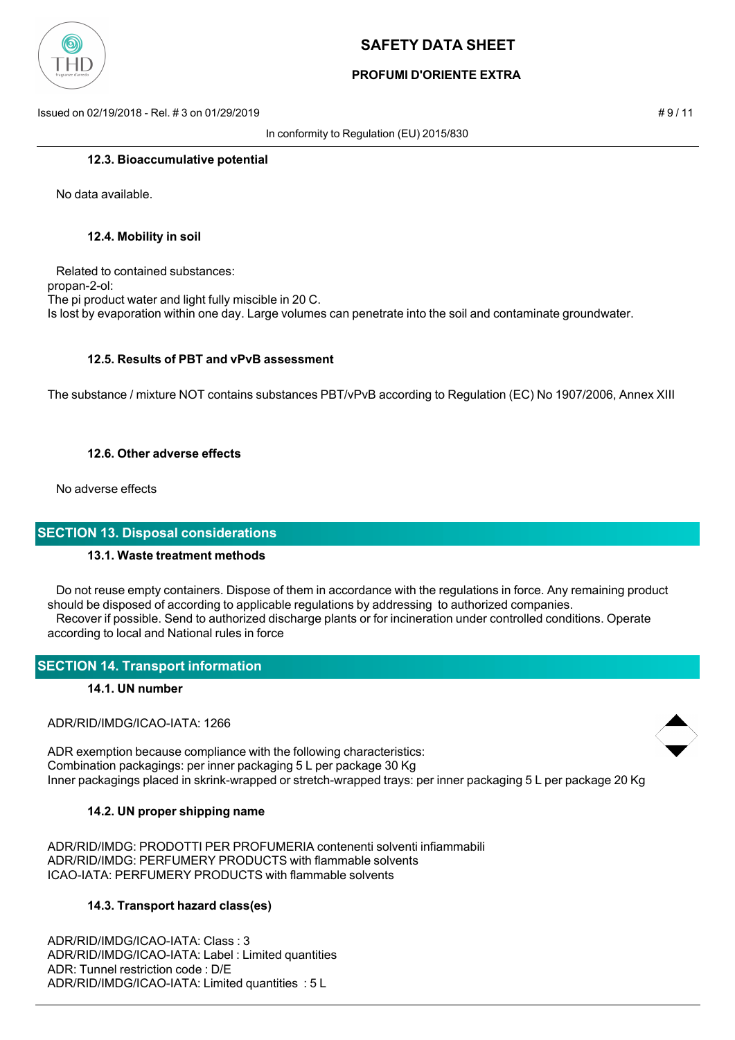

# **PROFUMI D'ORIENTE EXTRA**

Issued on 02/19/2018 - Rel. # 3 on 01/29/2019 **# 9 / 11**  $\neq$  9 / 11

In conformity to Regulation (EU) 2015/830

#### **12.3. Bioaccumulative potential**

No data available.

#### **12.4. Mobility in soil**

 Related to contained substances: propan-2-ol: The pi product water and light fully miscible in 20 C. Is lost by evaporation within one day. Large volumes can penetrate into the soil and contaminate groundwater.

## **12.5. Results of PBT and vPvB assessment**

The substance / mixture NOT contains substances PBT/vPvB according to Regulation (EC) No 1907/2006, Annex XIII

#### **12.6. Other adverse effects**

No adverse effects

## **SECTION 13. Disposal considerations**

## **13.1. Waste treatment methods**

 Do not reuse empty containers. Dispose of them in accordance with the regulations in force. Any remaining product should be disposed of according to applicable regulations by addressing to authorized companies. Recover if possible. Send to authorized discharge plants or for incineration under controlled conditions. Operate according to local and National rules in force

## **SECTION 14. Transport information**

#### **14.1. UN number**

ADR/RID/IMDG/ICAO-IATA: 1266

ADR exemption because compliance with the following characteristics: Combination packagings: per inner packaging 5 L per package 30 Kg Inner packagings placed in skrink-wrapped or stretch-wrapped trays: per inner packaging 5 L per package 20 Kg

## **14.2. UN proper shipping name**

ADR/RID/IMDG: PRODOTTI PER PROFUMERIA contenenti solventi infiammabili ADR/RID/IMDG: PERFUMERY PRODUCTS with flammable solvents ICAO-IATA: PERFUMERY PRODUCTS with flammable solvents

## **14.3. Transport hazard class(es)**

ADR/RID/IMDG/ICAO-IATA: Class : 3 ADR/RID/IMDG/ICAO-IATA: Label : Limited quantities ADR: Tunnel restriction code : D/E ADR/RID/IMDG/ICAO-IATA: Limited quantities : 5 L

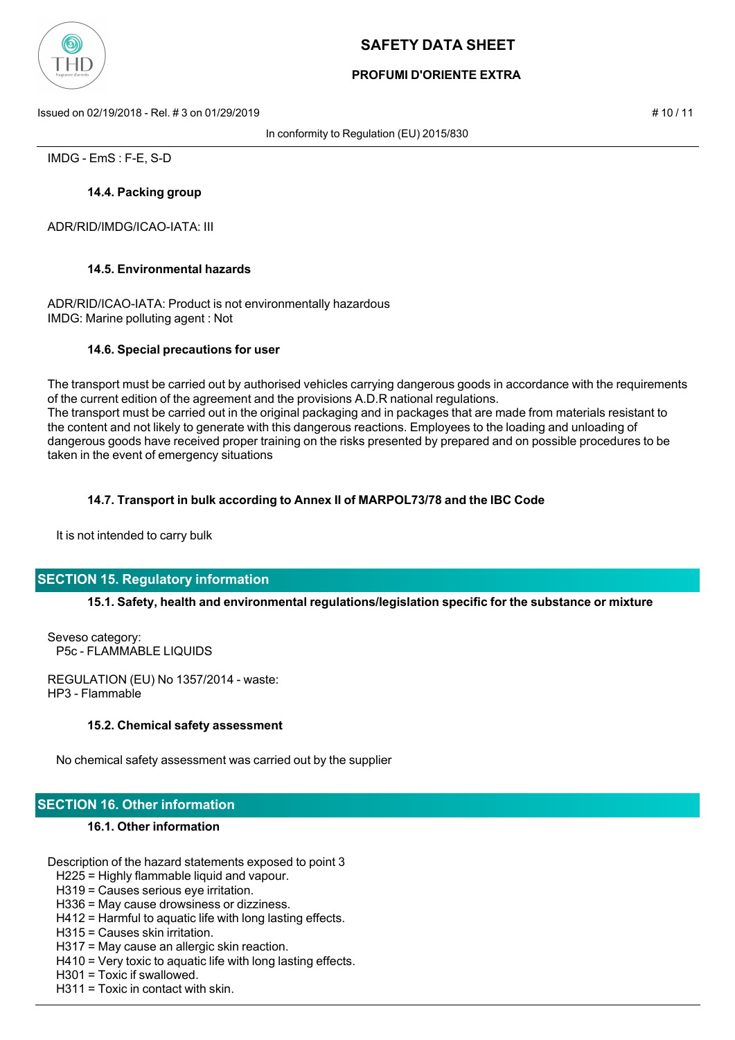

# **PROFUMI D'ORIENTE EXTRA**

Issued on 02/19/2018 - Rel. # 3 on 01/29/2019 # 10 / 11

In conformity to Regulation (EU) 2015/830

IMDG - EmS : F-E, S-D

## **14.4. Packing group**

ADR/RID/IMDG/ICAO-IATA: III

## **14.5. Environmental hazards**

ADR/RID/ICAO-IATA: Product is not environmentally hazardous IMDG: Marine polluting agent : Not

## **14.6. Special precautions for user**

The transport must be carried out by authorised vehicles carrying dangerous goods in accordance with the requirements of the current edition of the agreement and the provisions A.D.R national regulations. The transport must be carried out in the original packaging and in packages that are made from materials resistant to the content and not likely to generate with this dangerous reactions. Employees to the loading and unloading of dangerous goods have received proper training on the risks presented by prepared and on possible procedures to be taken in the event of emergency situations

## **14.7. Transport in bulk according to Annex II of MARPOL73/78 and the IBC Code**

It is not intended to carry bulk

# **SECTION 15. Regulatory information**

## **15.1. Safety, health and environmental regulations/legislation specific for the substance or mixture**

Seveso category: P5c - FLAMMABLE LIQUIDS

REGULATION (EU) No 1357/2014 - waste: HP3 - Flammable

## **15.2. Chemical safety assessment**

No chemical safety assessment was carried out by the supplier

# **SECTION 16. Other information**

## **16.1. Other information**

Description of the hazard statements exposed to point 3

- H225 = Highly flammable liquid and vapour.
- H319 = Causes serious eye irritation.
- H336 = May cause drowsiness or dizziness.
- H412 = Harmful to aquatic life with long lasting effects.
- H315 = Causes skin irritation.
- H317 = May cause an allergic skin reaction.
- H410 = Very toxic to aquatic life with long lasting effects.
- H301 = Toxic if swallowed.
- H311 = Toxic in contact with skin.